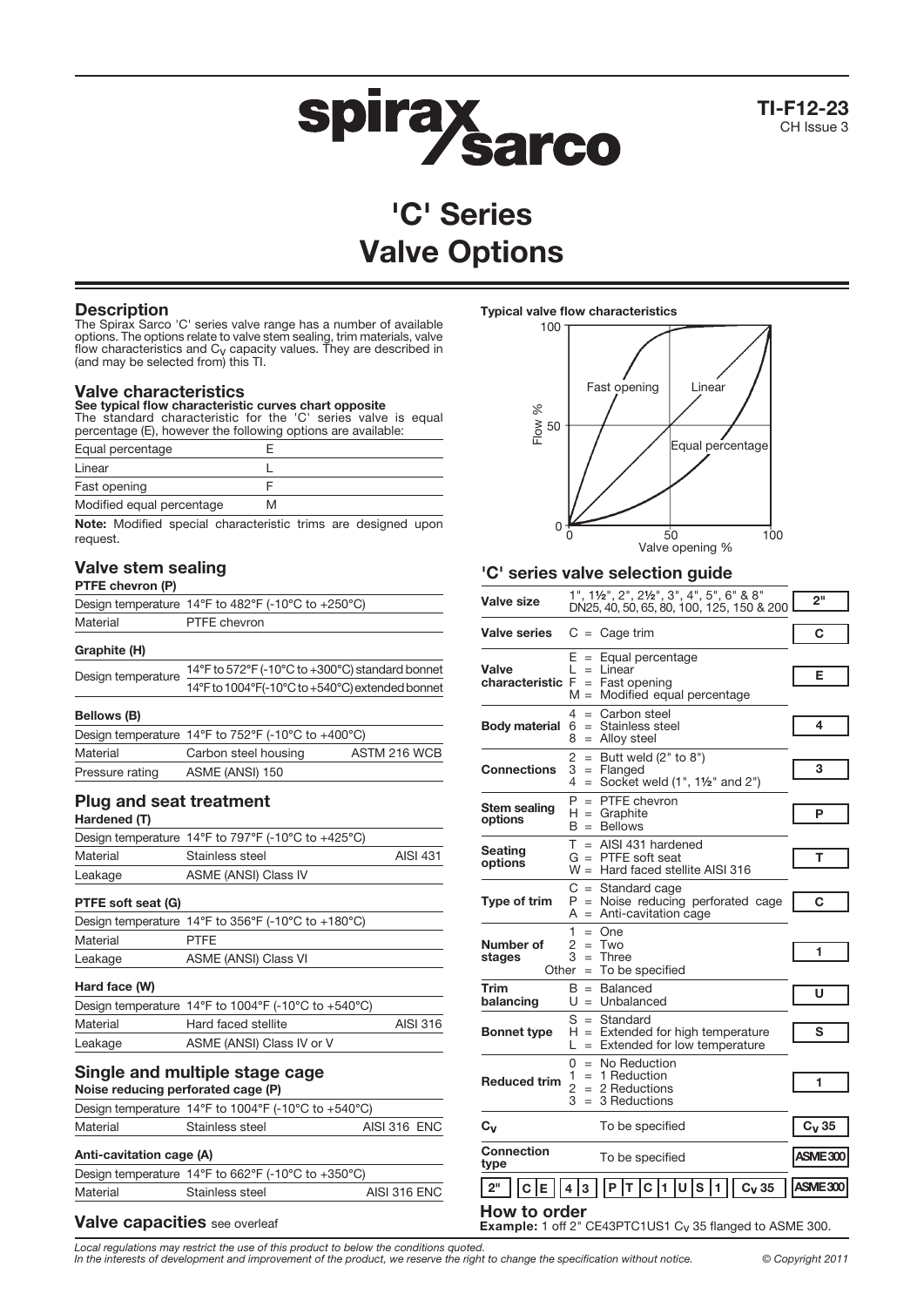

TI-F12-23 CH Issue 3

# 'C' Series Valve Options

## **Description**

The Spirax Sarco 'C' series valve range has a number of available options. The options relate to valve stem sealing, trim materials, valve flow characteristics and Cv capacity values. They are described in (and may be selected from) this TI.

## Valve characteristics

See typical flow characteristic curves chart opposite The standard characteristic for the 'C' series valve is equal percentage (E), however the following options are available:

| Equal percentage          |   |  |
|---------------------------|---|--|
| Linear                    |   |  |
| Fast opening              |   |  |
| Modified equal percentage | м |  |
|                           |   |  |

Note: Modified special characteristic trims are designed upon request.

## Valve stem sealing

## PTFE chevron (P)

|              | Design temperature 14°F to 482°F (-10°C to +250°C) |
|--------------|----------------------------------------------------|
| Material     | PTFE chevron                                       |
| Graphite (H) |                                                    |

| Design temperature 14°F to 572°F (-10°C to +300°C) standard bonne. |
|--------------------------------------------------------------------|
| 14°F to 1004°F(-10°C to +540°C) extended bonnet                    |
|                                                                    |

#### Bellows (B)

|                 | Design temperature 14 $\degree$ F to 752 $\degree$ F (-10 $\degree$ C to +400 $\degree$ C) |              |
|-----------------|--------------------------------------------------------------------------------------------|--------------|
| Material        | Carbon steel housing                                                                       | ASTM 216 WCB |
| Pressure rating | ASME (ANSI) 150                                                                            |              |
|                 |                                                                                            |              |

## Plug and seat treatment

Hardened (T)

|          | Design temperature 14 $\degree$ F to 797 $\degree$ F (-10 $\degree$ C to +425 $\degree$ C) |                 |
|----------|--------------------------------------------------------------------------------------------|-----------------|
| Material | Stainless steel                                                                            | <b>AISI 431</b> |
| Leakage  | ASME (ANSI) Class IV                                                                       |                 |

### PTFE soft seat (G)

|          | Design temperature 14 $\degree$ F to 356 $\degree$ F (-10 $\degree$ C to +180 $\degree$ C) |
|----------|--------------------------------------------------------------------------------------------|
| Material | <b>PTFF</b>                                                                                |
| Leakage  | ASME (ANSI) Class VI                                                                       |
|          |                                                                                            |

## Hard face (W)

| .        |                                                     |          |
|----------|-----------------------------------------------------|----------|
|          | Design temperature 14°F to 1004°F (-10°C to +540°C) |          |
| Material | Hard faced stellite                                 | AISI 316 |
| Leakage  | ASME (ANSI) Class IV or V                           |          |
|          |                                                     |          |

#### Single and multiple stage cage Noise reducing perforated cage (P)

|                          | Design temperature 14°F to 1004°F (-10°C to +540°C) |              |  |  |  |  |  |  |
|--------------------------|-----------------------------------------------------|--------------|--|--|--|--|--|--|
| Material                 | <b>AISI 316 ENC</b>                                 |              |  |  |  |  |  |  |
| Anti-cavitation cage (A) |                                                     |              |  |  |  |  |  |  |
|                          | Design temperature 14°F to 662°F (-10°C to +350°C)  |              |  |  |  |  |  |  |
| Material                 | Stainless steel                                     | AISI 316 ENC |  |  |  |  |  |  |

## Valve capacities see overleaf

### Typical valve flow characteristics



## 'C' series valve selection guide

| Valve size                                                                                  | $1", 1\frac{1}{2", 2", 2\frac{1}{2}; 3", 4", 5", 6" \& 8"$<br>DN25, 40, 50, 65, 80, 100, 125, 150 & 200                | 2 <sup>11</sup> |  |  |  |  |
|---------------------------------------------------------------------------------------------|------------------------------------------------------------------------------------------------------------------------|-----------------|--|--|--|--|
| <b>Valve series</b>                                                                         | $C = Cage trim$                                                                                                        | С               |  |  |  |  |
| Valve<br>characteristic F                                                                   | E<br>Equal percentage<br>$=$<br>Linear<br>$=$<br>Fast opening<br>$\qquad \qquad =$<br>Modified equal percentage<br>M = | Е               |  |  |  |  |
| <b>Body material</b>                                                                        | 4<br>$=$ Carbon steel<br>6<br>$=$ Stainless steel<br>8<br>$=$ Alloy steel                                              | 4               |  |  |  |  |
| Connections                                                                                 | 2<br>$=$ Butt weld (2" to 8")<br>3<br>$=$ Flanged<br>Socket weld (1", 11/2" and 2")<br>4<br>$=$                        | 3               |  |  |  |  |
| Stem sealing<br>options                                                                     | $P = PTFE$ chevron<br>$H =$ Graphite<br>$B =$ Bellows                                                                  | P               |  |  |  |  |
| <b>Seating</b><br>options                                                                   | T.<br>$=$ AISI 431 hardened<br>$G = PTFE$ soft seat<br>$W =$<br>Hard faced stellite AISI 316                           | т               |  |  |  |  |
| Type of trim                                                                                | $C =$ Standard cage<br>P<br>= Noise reducing perforated cage<br>$A =$ Anti-cavitation cage                             | С               |  |  |  |  |
| Number of<br>stages                                                                         | 1<br>$=$ One<br>2<br>$=$ Two<br>З<br>Three<br>$=$<br>Other $=$ To be specified                                         | 1               |  |  |  |  |
| <b>Trim</b><br>balancing                                                                    | $B =$ Balanced<br>$U =$ Unbalanced                                                                                     | U               |  |  |  |  |
| <b>Bonnet type</b>                                                                          | S<br>$=$ Standard<br>$H =$ Extended for high temperature<br>$=$ Extended for low temperature<br>L                      | s               |  |  |  |  |
| <b>Reduced trim</b>                                                                         | $=$ No Reduction<br>0<br>$= 1$ Reduction<br>1<br>$\overline{2}$<br>$= 2$ Reductions<br>3<br>$=$ 3 Reductions           | 1               |  |  |  |  |
| $C_{V}$                                                                                     | To be specified                                                                                                        | $C_V$ 35        |  |  |  |  |
| Connection<br>type                                                                          | To be specified                                                                                                        | ASME300         |  |  |  |  |
| 2 <sup>11</sup>                                                                             | U S 1 <br>P<br>C<br>1<br>$C_V$ 35<br>3<br>т                                                                            | ASME300         |  |  |  |  |
| <b>How to order</b><br>Example: 1 off 2" CE43PTC1US1 C <sub>V</sub> 35 flanged to ASME 300. |                                                                                                                        |                 |  |  |  |  |

Local regulations may restrict the use of this product to below the conditions quoted. In the interests of development and improvement of the product, we reserve the right to change the specification without notice. © Copyright 2011